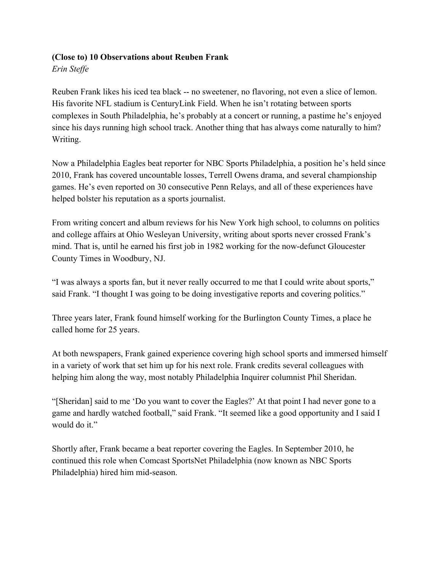## **(Close to) 10 Observations about Reuben Frank**

*Erin Steffe*

Reuben Frank likes his iced tea black -- no sweetener, no flavoring, not even a slice of lemon. His favorite NFL stadium is CenturyLink Field. When he isn't rotating between sports complexes in South Philadelphia, he's probably at a concert or running, a pastime he's enjoyed since his days running high school track. Another thing that has always come naturally to him? Writing.

Now a Philadelphia Eagles beat reporter for NBC Sports Philadelphia, a position he's held since 2010, Frank has covered uncountable losses, Terrell Owens drama, and several championship games. He's even reported on 30 consecutive Penn Relays, and all of these experiences have helped bolster his reputation as a sports journalist.

From writing concert and album reviews for his New York high school, to columns on politics and college affairs at Ohio Wesleyan University, writing about sports never crossed Frank's mind. That is, until he earned his first job in 1982 working for the now-defunct Gloucester County Times in Woodbury, NJ.

"I was always a sports fan, but it never really occurred to me that I could write about sports," said Frank. "I thought I was going to be doing investigative reports and covering politics."

Three years later, Frank found himself working for the Burlington County Times, a place he called home for 25 years.

At both newspapers, Frank gained experience covering high school sports and immersed himself in a variety of work that set him up for his next role. Frank credits several colleagues with helping him along the way, most notably Philadelphia Inquirer columnist Phil Sheridan.

"[Sheridan] said to me 'Do you want to cover the Eagles?' At that point I had never gone to a game and hardly watched football," said Frank. "It seemed like a good opportunity and I said I would do it."

Shortly after, Frank became a beat reporter covering the Eagles. In September 2010, he continued this role when Comcast SportsNet Philadelphia (now known as NBC Sports Philadelphia) hired him mid-season.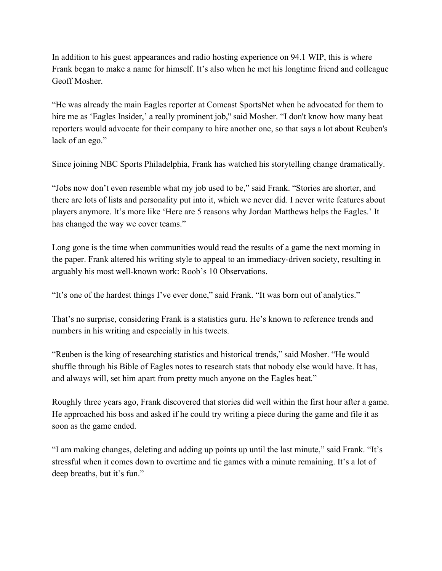In addition to his guest appearances and radio hosting experience on 94.1 WIP, this is where Frank began to make a name for himself. It's also when he met his longtime friend and colleague Geoff Mosher.

"He was already the main Eagles reporter at Comcast SportsNet when he advocated for them to hire me as 'Eagles Insider,' a really prominent job," said Mosher. "I don't know how many beat reporters would advocate for their company to hire another one, so that says a lot about Reuben's lack of an ego."

Since joining NBC Sports Philadelphia, Frank has watched his storytelling change dramatically.

"Jobs now don't even resemble what my job used to be," said Frank. "Stories are shorter, and there are lots of lists and personality put into it, which we never did. I never write features about players anymore. It's more like 'Here are 5 reasons why Jordan Matthews helps the Eagles.' It has changed the way we cover teams."

Long gone is the time when communities would read the results of a game the next morning in the paper. Frank altered his writing style to appeal to an immediacy-driven society, resulting in arguably his most well-known work: Roob's 10 Observations.

"It's one of the hardest things I've ever done," said Frank. "It was born out of analytics."

That's no surprise, considering Frank is a statistics guru. He's known to reference trends and numbers in his writing and especially in his tweets.

"Reuben is the king of researching statistics and historical trends," said Mosher. "He would shuffle through his Bible of Eagles notes to research stats that nobody else would have. It has, and always will, set him apart from pretty much anyone on the Eagles beat."

Roughly three years ago, Frank discovered that stories did well within the first hour after a game. He approached his boss and asked if he could try writing a piece during the game and file it as soon as the game ended.

"I am making changes, deleting and adding up points up until the last minute," said Frank. "It's stressful when it comes down to overtime and tie games with a minute remaining. It's a lot of deep breaths, but it's fun."